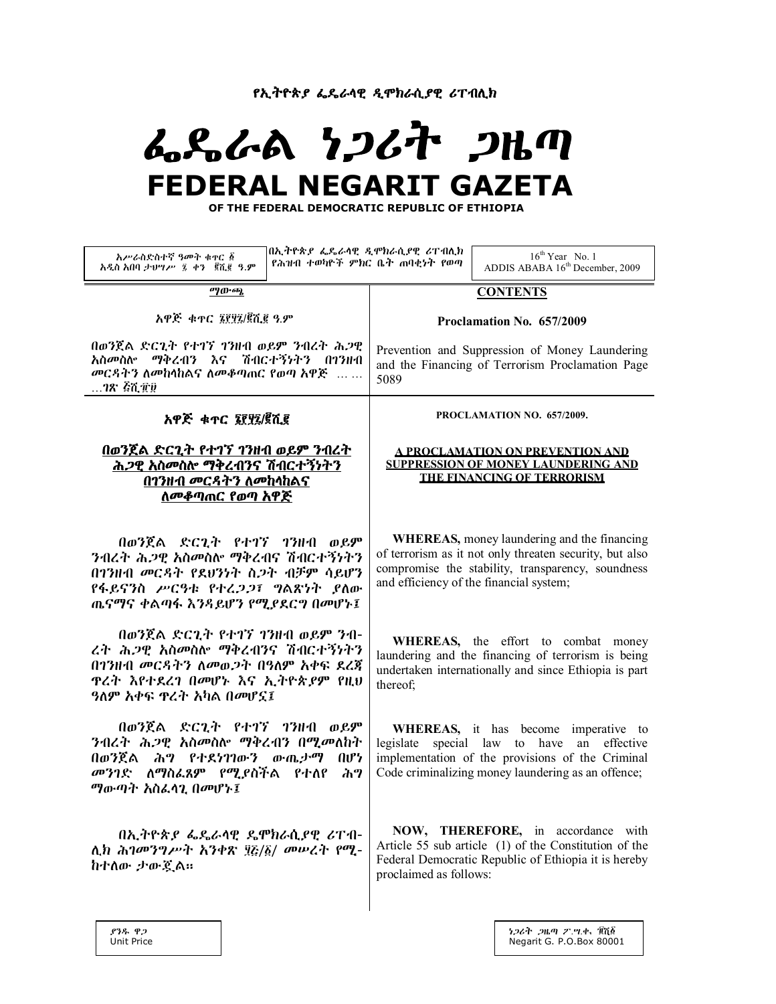**የኢትዮጵያ ፌዴራሳዊ ዲሞክራሲያዊ ሪፐብሊክ** 

# ፌዴራል *ነጋ*ሪት *ጋ*ዜጣ  **FEDERAL NEGARIT GAZETA**

 **OF THE FEDERAL DEMOCRATIC REPUBLIC OF ETHIOPIA**

| አሥራስድስተኛ ዓመት ቁተር ፩<br>አዲስ አበባ ታህሣሥ ፯ ቀን ፪ሺ፪ ዓ.ም                                                                                                                                    | በኢትዮጵ <i>ያ ፌ</i> ዴራሳዊ ዲሞክራሲያዊ ሪፐብሊክ<br>የሕዝብ ተወካዮች ምክር ቤት ጠባቂነት የወጣ |                                                                                                                                                                                                                | $16th$ Year No. 1<br>ADDIS ABABA 16 <sup>th</sup> December, 2009 |
|------------------------------------------------------------------------------------------------------------------------------------------------------------------------------------|--------------------------------------------------------------------|----------------------------------------------------------------------------------------------------------------------------------------------------------------------------------------------------------------|------------------------------------------------------------------|
| ማውጫ                                                                                                                                                                                |                                                                    | <b>CONTENTS</b>                                                                                                                                                                                                |                                                                  |
| አዋጅ ቁጥር ፮፻፶፯/፪ሺ፪ ዓ.ም                                                                                                                                                               |                                                                    | Proclamation No. 657/2009                                                                                                                                                                                      |                                                                  |
| በወንጀል ድርጊት የተገኘ ገንዘብ ወይም ንብረት ሕጋዊ<br>አስመስሎ ማቅረብን እና ሽብርተኝነትን በገንዘብ<br>መርዳትን ለመከላከልና ለመቆጣጠር የወጣ አዋጅ<br>$$ 78 $\bar{5}$ ሽ $\bar{1}$ 0                                                |                                                                    | Prevention and Suppression of Money Laundering<br>and the Financing of Terrorism Proclamation Page<br>5089                                                                                                     |                                                                  |
| አዋጅ ቁጥር ፮፻፶፯/፪ሺ፪                                                                                                                                                                   |                                                                    | PROCLAMATION NO. 657/2009.                                                                                                                                                                                     |                                                                  |
| <u>በወንጀል ድርጊት የተገኘ ገንዘብ ወይም ንብረት</u><br><u>ሕ<i>ጋ</i>ዊ አስመስሎ ማቅረብንና ሽብርተኝነትን</u><br>በገንዘብ መርዳትን ለመከላከልና<br>ለመቆጣጠር የወጣ አዋጅ                                                           |                                                                    | A PROCLAMATION ON PREVENTION AND<br><b>SUPPRESSION OF MONEY LAUNDERING AND</b><br>THE FINANCING OF TERRORISM                                                                                                   |                                                                  |
| በወንጀል ድርጊት የተገኘ ገንዘብ ወይም<br>ንብረት ሕጋዊ አስመስሎ ማቅረብና ሽብርተኝነትን<br>በገንዘብ መርዳት የደሀንነት ስጋት ብቻም ሳይሆን<br>የፋይናንስ ሥርዓቱ የተረ <i>ጋጋ</i> ፤ ግልጽነት ያስው<br>ጤናማና ቀልጣፋ እንዳይሆን የሚያደርግ በመሆኑ፤              |                                                                    | <b>WHEREAS</b> , money laundering and the financing<br>of terrorism as it not only threaten security, but also<br>compromise the stability, transparency, soundness<br>and efficiency of the financial system; |                                                                  |
| በወንጀል ድርጊት የተገኘ ገንዘብ ወይም ንብ-<br>ረት ሕጋዊ አስመስሎ ማቅረብንና ሽብርተኝነትን<br>በገንዘብ መርዳትን ስመወጋት በዓለም አቀፍ ደረጃ<br>ዋረት እየተደረገ በመሆኑ እና ኢትዮጵያም የዚህ<br>ዓለም አቀፍ ዋረት አካል በመሆኗ፤                           |                                                                    | WHEREAS, the effort to combat money<br>laundering and the financing of terrorism is being<br>undertaken internationally and since Ethiopia is part<br>thereof;                                                 |                                                                  |
| በወንጀል ድርጊት የተገኘ ገንዘብ<br>ወይም<br>ንብረት <i>ሕጋ</i> ዊ አስመስሎ ማቅረብን በሚመለከት<br>በወንጀል ሕግ የተደነገገውን ውጤታማ<br>$\mathbf{u}$<br><i>መንገድ ስማስፌጹ</i> ም የሚ <i>ያስች</i> ል የተለየ<br>ሕግ<br>ማውጣት አስፌሳጊ በመሆኑ፤ |                                                                    | WHEREAS, it has become imperative to<br>special law to have an<br>legislate<br>effective<br>implementation of the provisions of the Criminal<br>Code criminalizing money laundering as an offence;             |                                                                  |
| በኢትዮጵያ ፌዴራሳዊ ዴሞክራሲያዊ ሪፐብ-<br>ሊክ ሕገመንግሥት አንቀጽ ፶፩/፩/ መሠረት የሚ-<br>ከተለው ታውጇል።                                                                                                          |                                                                    | NOW, THEREFORE, in accordance with<br>Article 55 sub article (1) of the Constitution of the<br>Federal Democratic Republic of Ethiopia it is hereby<br>proclaimed as follows:                                  |                                                                  |

ያን<u>ዱ ዋ</u>ጋ Unit Price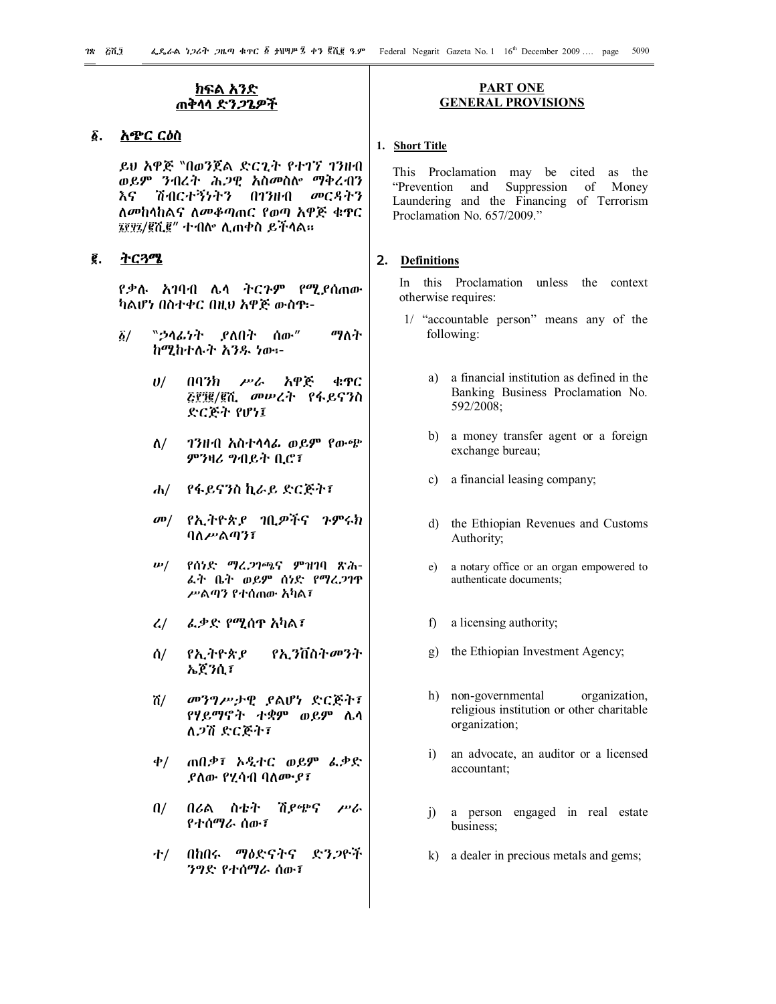#### **ክፍል አንድ ጠቅላላ ድንጋጌዎች**

## **1. አጭር ርዕስ**

ይህ አዋጅ "በወንጀል ድርጊት የተገኘ ገንዘብ ወይም ንብረት ሕጋዊ አስመስሎ ማቅረብን እና ሽብርተኝነትን በገንዘብ መርዳትን ለመከላከልና ለመቆጣጠር የወጣ አዋጅ ቁጥር 6)\$7/2ሺ2" ተብሎ ሊጠቀስ ይችላል፡፡

## **2. ትርጓሜ**

የቃሉ አገባብ ሌላ ትርጉም የሚያሰጠው ካልሆነ በስተቀር በዚህ አዋጅ ውስጥ፡-

- 1/ "ኃላፊነት ያለበት ሰው" ማለት ከሚከተሉት አንዱ ነው፡-
	- ሀ/ በባንክ ሥራ አዋጅ ቁጥር 5)(2/2ሺ መሠረት የፋይናንስ ድርጅት የሆነ፤
	- ለ/ ገንዘብ አስተላላፊ ወይም የውጭ ምንዛሪ ግብይት ቢሮ፣
	- ሐ/ የፋይናንስ ኪራይ ድርጅት፣
	- መ/ የኢትዮጵያ ገቢዎችና ጉምሩክ ባለሥልጣን፣
	- ሠ/ የሰነድ ማረጋገጫና ምዝገባ ጽሕ-ፈት ቤት ወይም ሰነድ የማረጋገጥ ሥልጣን የተሰጠው አካል፣
	- ረ/ ፈቃድ የሚሰጥ አካል፣
	- ሰ/ የኢትዮጵያ የኢንቨስትመንት ኤጀንሲ፣
	- ሸ/ መንግሥታዊ ያልሆነ ድርጅት፣ የሃይማኖት ተቋም ወይም ሌላ ለጋሽ ድርጅት፣
	- ቀ/ ጠበቃ፣ ኦዲተር ወይም ፈቃድ ያለው የሂሳብ ባለሙያ፣
	- በ/ በሪል ስቴት ሽያጭና ሥራ የተሰማራ ሰው፣
	- ተ/ በከበሩ ማዕድናትና ድንጋዮች ንግድ የተሰማራ ሰው፣

#### **PART ONE GENERAL PROVISIONS**

## **1. Short Title**

This Proclamation may be cited as the "Prevention and Suppression of Money Laundering and the Financing of Terrorism Proclamation No. 657/2009."

## **2. Definitions**

In this Proclamation unless the context otherwise requires:

- 1/ "accountable person" means any of the following:
	- a) a financial institution as defined in the Banking Business Proclamation No. 592/2008;
	- b) a money transfer agent or a foreign exchange bureau;
	- c) a financial leasing company;
	- d) the Ethiopian Revenues and Customs Authority;
	- e) a notary office or an organ empowered to authenticate documents;
	- f) a licensing authority;
	- g) the Ethiopian Investment Agency;
	- h) non-governmental organization, religious institution or other charitable organization;
	- i) an advocate, an auditor or a licensed accountant;
	- j) a person engaged in real estate business;
	- k) a dealer in precious metals and gems;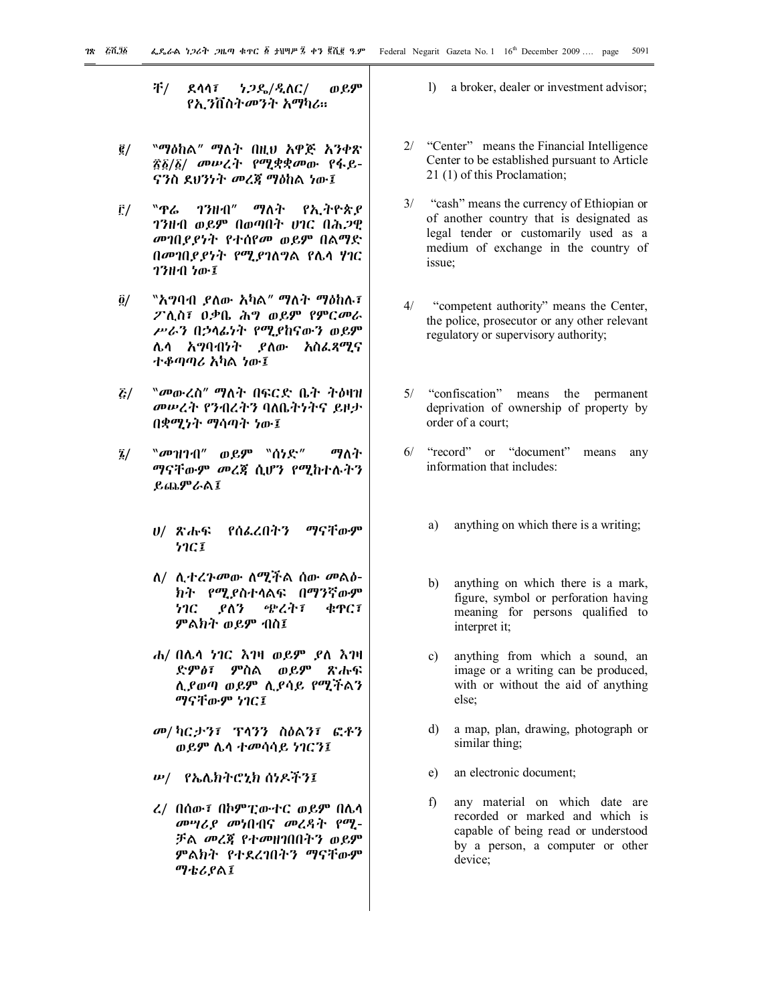- ቸ/ ደላላ፣ ነጋዴ/ዲለር/ ወይም የኢንቨስትመንት አማካሪ፡፡
- 2/ "ማዕከል" ማለት በዚህ አዋጅ አንቀጽ !1/1/ መሠረት የሚቋቋመው የፋይ-ናንስ ደህንነት መረጃ ማዕከል ነው፤
- 3/ "ጥሬ ገንዘብ" ማለት የኢትዮጵያ ገንዘብ ወይም በወጣበት ሀገር በሕጋዊ መገበያያነት የተሰየመ ወይም በልማድ በመገበያያነት የሚያገለግል የሌላ ሃገር ገንዘብ ነው፤
- 4/ "አግባብ ያለው አካል" ማለት ማዕከሉ፣ ፖሊስ፣ ዐቃቤ ሕግ ወይም የምርመራ ሥራን በኃላፊነት የሚያከናውን ወይም ሌላ አግባብነት ያለው አስፈጻሚና ተቆጣጣሪ አካል ነው፤
- 5/ "መውረስ" ማለት በፍርድ ቤት ትዕዛዝ መሠረት የንብረትን ባለቤትነትና ይዞታ በቋሚነት ማሳጣት ነው፤
- 6/ "መዝገብ" ወይም "ሰነድ" ማለት ማናቸውም መረጃ ሲሆን የሚከተሉትን ይጨምራል፤
	- ሀ/ ጽሑፍ የሰፈረበትን ማናቸውም ነገር፤
	- ለ/ ሊተረጉመው ለሚችል ሰው መልዕ-ክት የሚያስተላልፍ በማንኛውም ነገር ያለን ጭረት፣ ቁጥር፣ ምልክት ወይም ብስ፤
	- ሐ/ በሌላ ነገር እገዛ ወይም ያለ እገዛ ድምፅ፣ ምስል ወይም ጽሑፍ ሊያወጣ ወይም ሊያሳይ የሚችልን ማናቸውም ነገር፤
	- መ/ ካርታን፣ ፕላንን ስዕልን፣ ፎቶን ወይም ሌላ ተመሳሳይ ነገርን፤
	- ሠ/ የኤሌክትሮኒክ ሰነዶችን፤
	- ረ/ በሰው፣ በኮምፒውተር ወይም በሌላ መሣሪያ መነበብና መረዳት የሚ-ቻል መረጃ የተመዘገበበትን ወይም ምልክት የተደረገበትን ማናቸውም ማቴሪያል፤

l) a broker, dealer or investment advisor;

- 2/ "Center" means the Financial Intelligence Center to be established pursuant to Article 21 (1) of this Proclamation;
- 3/ "cash" means the currency of Ethiopian or of another country that is designated as legal tender or customarily used as a medium of exchange in the country of issue;
- 4/ "competent authority" means the Center, the police, prosecutor or any other relevant regulatory or supervisory authority;
- 5/ "confiscation" means the permanent deprivation of ownership of property by order of a court;
- 6/ "record" or "document" means any information that includes:
	- a) anything on which there is a writing;
	- b) anything on which there is a mark, figure, symbol or perforation having meaning for persons qualified to interpret it;
	- c) anything from which a sound, an image or a writing can be produced, with or without the aid of anything else;
	- d) a map, plan, drawing, photograph or similar thing;
	- e) an electronic document;
	- f) any material on which date are recorded or marked and which is capable of being read or understood by a person, a computer or other device;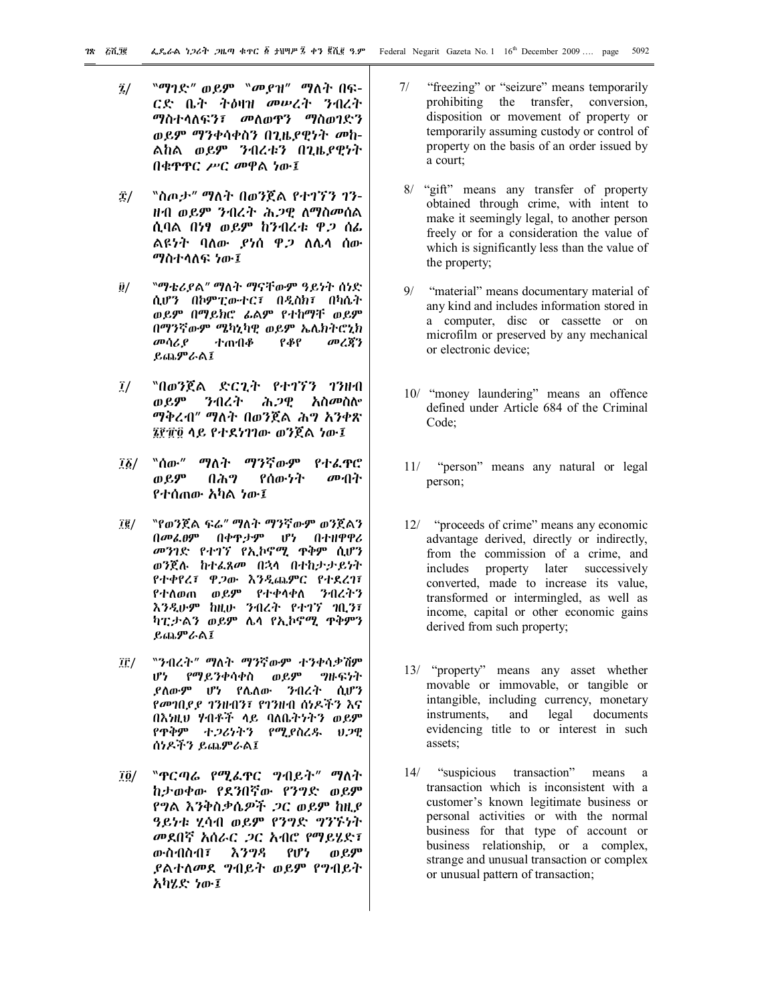- 7/ "ማገድ" ወይም "መያዝ" ማለት በፍ-ርድ ቤት ትዕዛዝ መሠረት ንብረት ማስተላለፍን፣ መለወጥን ማስወገድን ወይም ማንቀሳቀስን በጊዜያዊነት መከ-ልከል ወይም ንብረቱን በጊዜያዊነት በቁጥጥር ሥር መዋል ነው፤
- 8/ "ስጦታ" ማለት በወንጀል የተገኘን ገን-ዘብ ወይም ንብረት ሕጋዊ ለማስመሰል ሲባል በነፃ ወይም ከንብረቱ ዋጋ ሰፊ ልዩነት ባለው ያነሰ ዋጋ ለሌላ ሰው ማስተላለፍ ነው፤
- 9/ "ማቴሪያል" ማለት ማናቸውም ዓይነት ሰነድ ሲሆን በኮምፒውተር፣ በዲስክ፣ በካሴት ወይም በማይክሮ ፊልም የተከማቸ ወይም በማንኛውም ሜካኒካዊ ወይም ኤሌክትሮኒክ መሳሪያ ተጠብቆ የቆየ መረጃን ይጨምራል፤
- 0/ "በወንጀል ድርጊት የተገኘን ገንዘብ ወይም ንብረት ሕጋዊ አስመስሎ ማቅረብ" ማለት በወንጀል ሕግ አንቀጽ 6)'4 ላይ የተደነገገው ወንጀል ነው፤
- 01/ "ሰው" ማለት ማንኛውም የተፈጥሮ ወይም በሕግ የሰውነት መብት የተሰጠው አካል ነው፤
- 02/ "የወንጀል ፍሬ" ማለት ማንኛውም ወንጀልን በመፈፀም በቀጥታም ሆነ በተዘዋዋሪ መንገድ የተገኘ የኢኮኖሚ ጥቅም ሲሆን ወንጀሉ ከተፈጸመ በኋላ በተከታታይነት የተቀየረ፣ ዋጋው እንዲጨምር የተደረገ፣ የተለወጠ ወይም የተቀላቀለ ንብረትን እንዲሁም ከዚሁ ንብረት የተገኘ ገቢን፣ ካፒታልን ወይም ሌላ የኢኮኖሚ ጥቅምን ይጨምራል፤
- 03/ "ንብረት" ማለት ማንኛውም ተንቀሳቃሽም ሆነ የማይንቀሳቀስ ወይም ግዙፍነት ያለውም ሆነ የሌለው ንብረት ሲሆን የመገበያያ ገንዘብን፣ የገንዘብ ሰነዶችን እና በእነዚህ ሃብቶች ላይ ባለቤትነትን ወይም የጥቅም ተጋሪነትን የሚያስረዱ ህጋዊ ሰነዶችን ይጨምራል፤
- 04/ "ጥርጣሬ የሚፈጥር ግብይት" ማለት ከታወቀው የደንበኛው የንግድ ወይም የግል እንቅስቃሴዎች ጋር ወይም ከዚያ ዓይነቱ ሂሳብ ወይም የንግድ ግንኙነት መደበኛ አሰራር ጋር አብሮ የማይሄድ፣ ውስብስብ፣ እንግዳ የሆነ ወይም ያልተለመደ ግብይት ወይም የግብይት አካሄድ ነው፤
- 7/ "freezing" or "seizure" means temporarily prohibiting the transfer, conversion, disposition or movement of property or temporarily assuming custody or control of property on the basis of an order issued by a court;
- 8/ "gift" means any transfer of property obtained through crime, with intent to make it seemingly legal, to another person freely or for a consideration the value of which is significantly less than the value of the property;
- 9/ "material" means documentary material of any kind and includes information stored in a computer, disc or cassette or on microfilm or preserved by any mechanical or electronic device;
- 10/ "money laundering" means an offence defined under Article 684 of the Criminal Code;
- 11/ "person" means any natural or legal person;
- 12/ "proceeds of crime" means any economic advantage derived, directly or indirectly, from the commission of a crime, and includes property later successively converted, made to increase its value, transformed or intermingled, as well as income, capital or other economic gains derived from such property;
- 13/ "property" means any asset whether movable or immovable, or tangible or intangible, including currency, monetary instruments, and legal documents evidencing title to or interest in such assets;
- 14/ "suspicious transaction" means a transaction which is inconsistent with a customer's known legitimate business or personal activities or with the normal business for that type of account or business relationship, or a complex, strange and unusual transaction or complex or unusual pattern of transaction;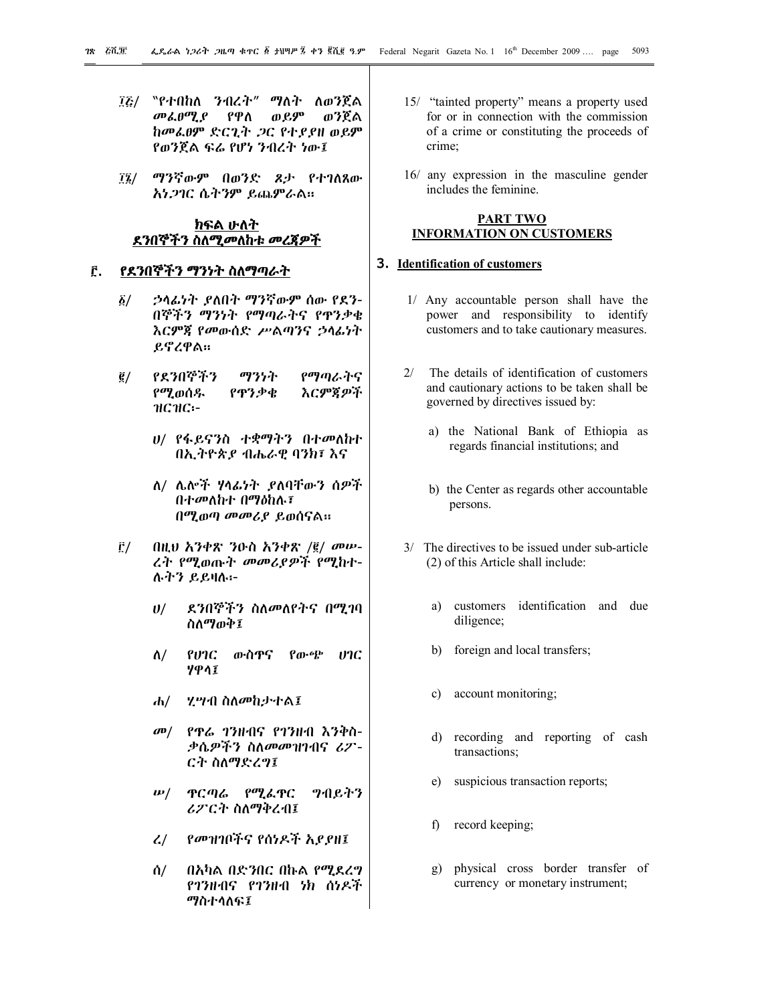- ፲፩/ 〝የተበከለ ንብረት" ማለት ለወንጀል መፈፀሚያ የዋለ ወይም ወንጀል ከመፈፀም ድርጊት ጋር የተያያዘ ወይም የወንጀል ፍሬ የሆነ ንብረት ነው፤
- ፲፮/ ማንኛውም በወንድ ጾታ የተገለጸው አነጋገር ሴትንም ይጨምራል፡፡

## **ክፍል ሁለት ደንበኞችን ስለሚመለከቱ መረጃዎች**

## **3. የደንበኞችን ማንነት ስለማጣራት**

- 1/ ኃላፊነት ያለበት ማንኛውም ሰው የደን-በኞችን ማንነት የማጣራትና የጥንቃቄ እርምጃ የመውሰድ ሥልጣንና ኃላፊነት ይኖረዋል፡፡
- 2/ የደንበኞችን ማንነት የማጣራትና የሚወሰዱ የጥንቃቄ እርምጃዎች ዝርዝር፡-
	- ሀ/ የፋይናንስ ተቋማትን በተመለከተ በኢትዮጵያ ብሔራዊ ባንክ፣ እና
	- ለ/ ሌሎች ሃላፊነት ያለባቸውን ሰዎች በተመለከተ በማዕከሉ፣ በሚወጣ መመሪያ ይወሰናል፡፡
- $\mathbf{f}$ / በዚህ አንቀጽ ንዑስ አንቀጽ / $\mathbf{g}/\mathbf{m}\mathbf{w}$ -ረት የሚወጡት መመሪያዎች የሚከተ-ሉትን ይይዛሉ፡-
	- ሀ/ ደንበኞችን ስለመለየትና በሚገባ ስለማወቅ፤
	- ለ/ የሀገር ውስጥና የውጭ ሀገር ሃዋላ፤
	- ሐ/ ሂሣብ ስለመከታተል፤
	- መ/ የጥሬ ገንዘብና የገንዘብ እንቅስ-ቃሴዎችን ስለመመዝገብና ሪፖ-ርት ስለማድረግ፤
	- ሠ/ ጥርጣሬ የሚፈጥር ግብይትን ሪፖርት ስለማቅረብ፤
	- ረ/ የመዝገቦችና የሰነዶች አያያዘ፤
	- ሰ/ በአካል በድንበር በኩል የሚደረግ የገንዘብና የገንዘብ ነክ ሰነዶች ማስተላለፍ፤
- 15/ "tainted property" means a property used for or in connection with the commission of a crime or constituting the proceeds of crime;
- 16/ any expression in the masculine gender includes the feminine.

#### **PART TWO INFORMATION ON CUSTOMERS**

#### **3. Identification of customers**

- 1/ Any accountable person shall have the power and responsibility to identify customers and to take cautionary measures.
- 2/ The details of identification of customers and cautionary actions to be taken shall be governed by directives issued by:
	- a) the National Bank of Ethiopia as regards financial institutions; and
	- b) the Center as regards other accountable persons.
- 3/ The directives to be issued under sub-article (2) of this Article shall include:
	- a) customers identification and due diligence;
	- b) foreign and local transfers;
	- c) account monitoring;
	- d) recording and reporting of cash transactions;
	- e) suspicious transaction reports;
	- f) record keeping;
	- g) physical cross border transfer of currency or monetary instrument;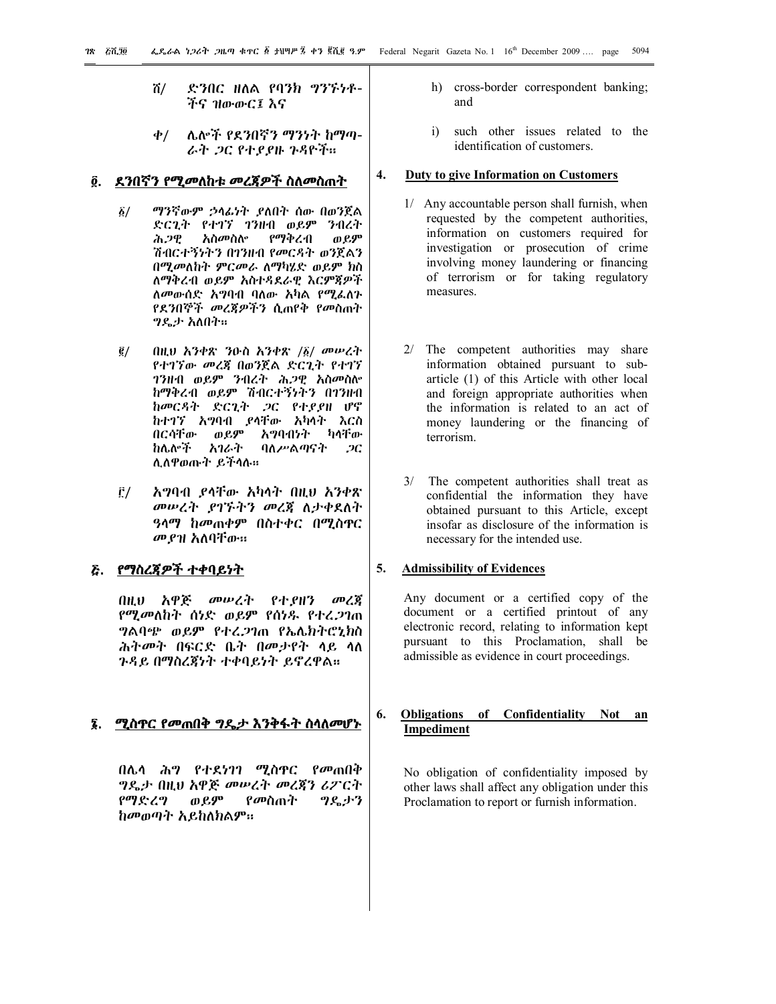- ሸ/ ድንበር ዘለል የባንክ ግንኙነቶ-ችና ዝውውር፤ እና
- ቀ/ ሌሎች የደንበኛን ማንነት ከማጣ-ራት ጋር የተያያዙ ጉዳዮች፡፡

#### **4. ደንበኛን የሚመለከቱ መረጃዎች ስለመስጠት**

- 1/ ማንኛውም ኃላፊነት ያለበት ሰው በወንጀል ድርጊት የተገኘ ገንዘብ ወይ<mark>ም ን</mark>ብረት<br>ሕ*ጋ*ዊ አስመስሎ የማቅረብ ወደም ሕ*ጋ*ዊ አስመስሎ የማቅረብ ሽብርተኝነትን በገንዘብ የመርዳት ወንጀልን በሚመለከት ምርመራ ለማካሄድ ወይም ክስ ለማቅረብ ወይም አስተዳደራዊ እርምጃዎች ለመውሰድ አግባብ ባለው አካል የሚፈለጉ የደንበኞች መረጃዎችን ሲጠየቅ የመስጠት ግዴታ አለበት፡፡
- 2/ በዚህ አንቀጽ ንዑስ አንቀጽ /1/ መሠረት የተገኘው መረጃ በወንጀል ድርጊት የተገኘ ገንዘብ ወይም ንብረት ሕጋዊ አስመስሎ ከማቅረብ ወይም ሽብርተኝነትን በገንዘብ ከመርዳት ድርጊት ጋር የተያያዘ ሆኖ ከተገኘ አግባብ ያላቸው አካላት እርስ በርሳቸው ወይም አግባብነት ካላቸው ከሌሎች አገራት ባለሥልጣናት ጋር ሊለዋወጡት ይችላሉ፡፡
- 3/ አግባብ ያላቸው አካላት በዚህ አንቀጽ መሠረት ያገኙትን መረጃ ለታቀደለት ዓላማ ከመጠቀም በስተቀር በሚስጥር መያዝ አለባቸው፡፡

#### **5. የማስረጃዎች ተቀባይነት**

በዚህ አዋጅ መሠረት የተያዘን መረጃ የሚመለከት ሰነድ ወይም የሰነዱ የተረጋገጠ ግልባጭ ወይም የተረጋገጠ የኤሌክትሮኒክስ ሕትመት በፍርድ ቤት በመታየት ላይ ላለ ጉዳይ በማስረጃነት ተቀባይነት ይኖረዋል፡፡

## **6. ሚስጥር የመጠበቅ ግዴታ እንቅፋት ስላለመሆኑ**

በሌላ ሕግ የተደነገገ ሚስጥር የመጠበቅ ግዴታ በዚህ አዋጅ መሠረት መረጃን ሪፖርት የማድረግ ወይም የመስጠት ግዴታን ከመወጣት አይከለክልም፡፡

- h) cross-border correspondent banking; and
- i) such other issues related to the identification of customers.

#### **4. Duty to give Information on Customers**

- 1/ Any accountable person shall furnish, when requested by the competent authorities, information on customers required for investigation or prosecution of crime involving money laundering or financing of terrorism or for taking regulatory measures.
- 2/ The competent authorities may share information obtained pursuant to subarticle (1) of this Article with other local and foreign appropriate authorities when the information is related to an act of money laundering or the financing of terrorism.
- 3/ The competent authorities shall treat as confidential the information they have obtained pursuant to this Article, except insofar as disclosure of the information is necessary for the intended use.

#### **5. Admissibility of Evidences**

Any document or a certified copy of the document or a certified printout of any electronic record, relating to information kept pursuant to this Proclamation, shall be admissible as evidence in court proceedings.

#### **6. Obligations of Confidentiality Not an Impediment**

No obligation of confidentiality imposed by other laws shall affect any obligation under this Proclamation to report or furnish information.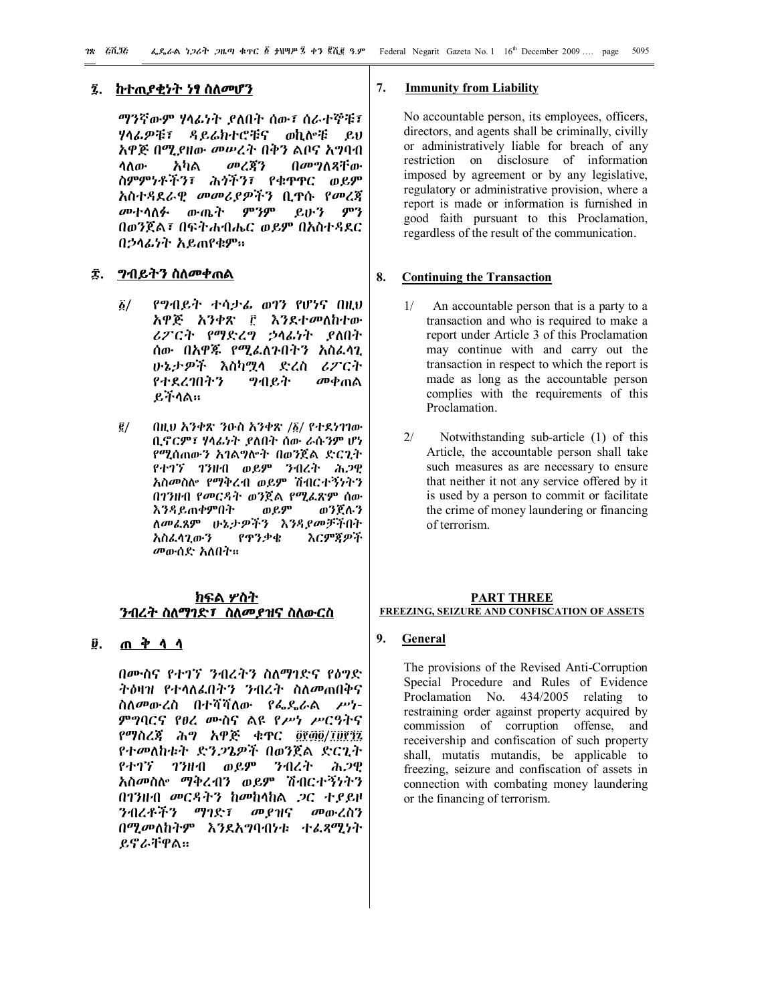## **7. ከተጠያቂነት ነፃ ስለመሆን**

ማንኛውም ሃላፊነት ያለበት ሰው፣ ሰራተኞቹ፣ ሃላፊዎቹ፣ ዳይሬክተሮቹና ወኪሎቹ ይህ አዋጅ በሚያዘው መሠረት በቅን ልቦና አግባብ<br>ሳለው አካል መረጃን በመግለጻቸው ላለው አካል መረጃን በመግለጻቸው ስምምነቶችን፣ ሕጎችን፣ የቁጥጥር ወይም አስተዳደራዊ መመሪያዎችን ቢጥሱ የመረጃ መተላለፉ ውጤት ምንም ይሁን ምን በወንጀል፣ በፍትሐብሔር ወይም በአስተዳደር በኃላፊነት አይጠየቁም፡፡

## **8. ግብይትን ስለመቀጠል**

- 1/ የግብይት ተሳታፊ ወገን የሆነና በዚህ አዋጅ አንቀጽ ፫ እንደተመለከተው ሪፖርት የማድረግ ኃላፊነት ያለበት ሰው በአዋጁ የሚፈለጉበትን አስፈላጊ ሁኔታዎች እስካሟላ ድረስ ሪፖርት የተደረገበትን ግብይት መቀጠል ይችላል፡፡
- $\bar{g}$ / በዚህ አንቀጽ ንዑስ አንቀጽ / $\delta$ / የተደነገገው ቢኖርም፣ ሃላፊነት ያለበት ሰው ራሱንም ሆነ የሚሰጠውን አገልግሎት በወንጀል ድርጊት የተገኘ ገንዘብ ወይም ንብረት ሕጋዊ አስመስሎ የማቅረብ ወይም ሽብርተኝነትን በገንዘብ የመርዳት ወንጀል የሚፌጽም ሰው<br>እንዳይጠቀምበት ወይም ወንጀሉን እንዳይጠቀምበት ወይም ወንጀሉን ለመፈጸም ሁኔታዎችን እንዳያመቻችበት<br>አስፈላጊውን የዋንቃቄ እርምጀዎች አስፈላጊውን መውሰድ አለበት፡፡

#### **ክፍል ሦስት ንብረት ስለማገድ፣ ስለመያዝና ስለውርስ**

## **9. ጠ ቅ ላ ላ**

በሙስና የተገኘ ንብረትን ስለማገድና የዕግድ ትዕዛዝ የተላለፈበትን ንብረት ስለመጠበቅና ስለመውረስ በተሻሻለው የፌዴራል ሥነ-ምግባርና የፀረ ሙስና ልዩ የሥነ ሥርዓትና የማስረጃ ሕግ አዋጅ ቁጥር ፬፻፴፬/፲፱፻፺፯ የተመለከቱት ድንጋጌዎች በወንጀል ድርጊት የተገኘ ገንዘብ ወይም ንብረት ሕጋዊ አስመስሎ ማቅረብን ወይም ሽብርተኝነትን በገንዘብ መርዳትን ከመከላከል ጋር ተያይዞ ንብረቶችን ማገድ፣ መያዝና መውረስን በሚመለከትም እንደአግባብነቱ ተፈጻሚነት ይኖራቸዋል፡፡

#### **7. Immunity from Liability**

No accountable person, its employees, officers, directors, and agents shall be criminally, civilly or administratively liable for breach of any restriction on disclosure of information imposed by agreement or by any legislative, regulatory or administrative provision, where a report is made or information is furnished in good faith pursuant to this Proclamation, regardless of the result of the communication.

#### **8. Continuing the Transaction**

- 1/ An accountable person that is a party to a transaction and who is required to make a report under Article 3 of this Proclamation may continue with and carry out the transaction in respect to which the report is made as long as the accountable person complies with the requirements of this Proclamation.
- 2/ Notwithstanding sub-article (1) of this Article, the accountable person shall take such measures as are necessary to ensure that neither it not any service offered by it is used by a person to commit or facilitate the crime of money laundering or financing of terrorism.

#### **PART THREE FREEZING, SEIZURE AND CONFISCATION OF ASSETS**

## **9. General**

The provisions of the Revised Anti-Corruption Special Procedure and Rules of Evidence Proclamation No. 434/2005 relating to restraining order against property acquired by commission of corruption offense, and receivership and confiscation of such property shall, mutatis mutandis, be applicable to freezing, seizure and confiscation of assets in connection with combating money laundering or the financing of terrorism.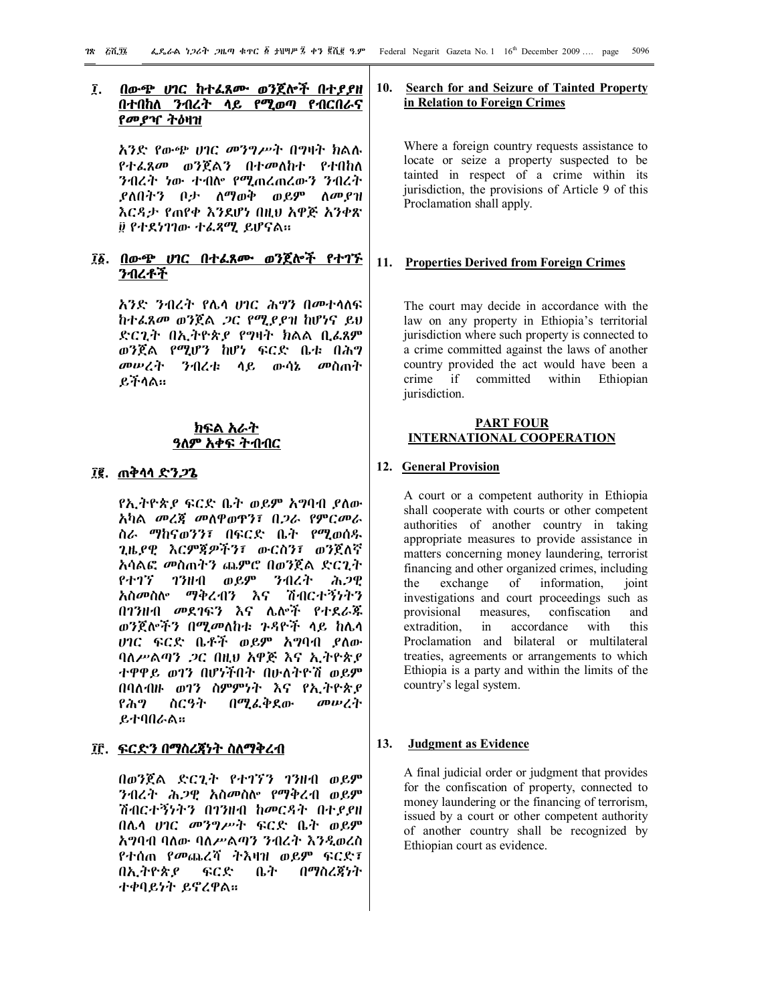## **0. በውጭ ሀገር ከተፈጸሙ ወንጀሎች በተያያዘ በተበከለ ንብረት ላይ የሚወጣ የብርበራና የመያዣ ትዕዛዝ**

አንድ የውጭ ሀገር መንግሥት በግዛት ክልሉ የተፈጸመ ወንጀልን በተመለከተ የተበከለ ንብረት ነው ተብሎ የሚጠረጠረውን ንብረት ያለበትን ቦታ ለማወቅ ወይም ለመያዝ እርዳታ የጠየቀ እንደሆነ በዚህ አዋጅ አንቀጽ 9 የተደነገገው ተፈጻሚ ይሆናል፡፡

## **01. በውጭ ሀገር በተፈጸሙ ወንጀሎች የተገኙ ንብረቶች**

አንድ ንብረት የሌላ ሀገር ሕግን በመተላለፍ ከተፈጸመ ወንጀል ጋር የሚያያዝ ከሆነና ይህ ድርጊት በኢትዮጵያ የግዛት ክልል ቢፈጸም ወንጀል የሚሆን ከሆነ ፍርድ ቤቱ በሕግ መሠረት ንብረቱ ላይ ውሳኔ መስጠት ይችላል፡፡

## **ክፍል አራት ዓለም አቀፍ ትብብር**

### **02. ጠቅላላ ድንጋጌ**

የኢትዮጵያ ፍርድ ቤት ወይም አግባብ ያለው አካል መረጃ መለዋወጥን፣ በጋራ የምርመራ ስራ ማከናወንን፣ በፍርድ ቤት የሚወሰዱ ጊዜያዊ እርምጃዎችን፣ ውርስን፣ ወንጀለኛ አሳልፎ መስጠትን ጨምሮ በወንጀል ድርጊት የተገኘ ገንዘብ ወይም ንብረት ሕጋዊ አስመስሎ ማቅረብን እና ሽብርተኝነትን በገንዘብ መደገፍን እና ሌሎች የተደራጁ ወንጀሎችን በሚመለከቱ ጉዳዮች ላይ ከሌላ ሀገር ፍርድ ቤቶች ወይም አግባብ ያለው ባለሥልጣን ጋር በዚህ አዋጅ እና ኢትዮጵያ ተዋዋይ ወገን በሆነችበት በሁለትዮሽ ወይም በባለብዙ ወገን ስምምነት እና የኢትዮጵያ የሕግ ስርዓት በሚፈቅደው መሠረት ይተባበራል፡፡

#### **03. ፍርድን በማስረጃነት ስለማቅረብ**

በወንጀል ድርጊት የተገኘን ገንዘብ ወይም ንብረት ሕጋዊ አስመስሎ የማቅረብ ወይም ሽብርተኝነትን በገንዘብ ከመርዳት በተያያዘ በሌላ ሀገር መንግሥት ፍርድ ቤት ወይም አግባብ ባለው ባለሥልጣን ንብረት እንዲወረስ የተሰጠ የመጨረሻ ትእዛዝ ወይም ፍርድ፣ በኢትዮጵያ ፍርድ ቤት በማስረጃነት ተቀባይነት ይኖረዋል፡፡

**10. Search for and Seizure of Tainted Property in Relation to Foreign Crimes** 

Where a foreign country requests assistance to locate or seize a property suspected to be tainted in respect of a crime within its jurisdiction, the provisions of Article 9 of this Proclamation shall apply.

#### **11. Properties Derived from Foreign Crimes**

The court may decide in accordance with the law on any property in Ethiopia's territorial jurisdiction where such property is connected to a crime committed against the laws of another country provided the act would have been a crime if committed within Ethiopian jurisdiction.

#### **PART FOUR INTERNATIONAL COOPERATION**

## **12. General Provision**

A court or a competent authority in Ethiopia shall cooperate with courts or other competent authorities of another country in taking appropriate measures to provide assistance in matters concerning money laundering, terrorist financing and other organized crimes, including the exchange of information, joint investigations and court proceedings such as<br>provisional measures, confiscation and provisional measures, confiscation and extradition, in accordance with this Proclamation and bilateral or multilateral treaties, agreements or arrangements to which Ethiopia is a party and within the limits of the country's legal system.

#### **13. Judgment as Evidence**

A final judicial order or judgment that provides for the confiscation of property, connected to money laundering or the financing of terrorism, issued by a court or other competent authority of another country shall be recognized by Ethiopian court as evidence.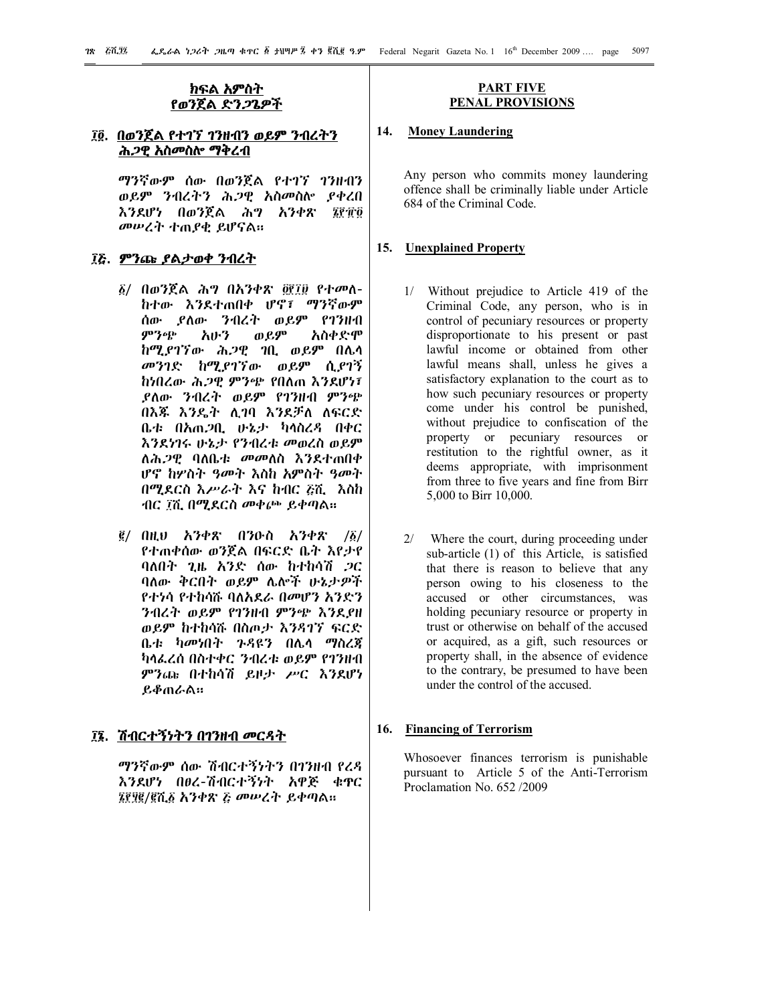## **ክፍል አምስት የወንጀል ድንጋጌዎች**

**04. በወንጀል የተገኘ ገንዘብን ወይም ንብረትን ሕጋዊ አስመስሎ ማቅረብ**

> ማንኛውም ሰው በወንጀል የተገኘ ገንዘብን ወይም ንብረትን ሕጋዊ አስመስሎ ያቀረበ እንደሆነ በወንጀል ሕግ አንቀጽ ፮፻፹፬ መሠረት ተጠያቂ ይሆናል፡፡

## **05. ምንጩ ያልታወቀ ንብረት**

- δ/ በወንጀል ሕግ በአንቀጽ <u>öየ፲፱</u> የተመለ-ከተው እንደተጠበቀ ሆኖ፣ ማንኛውም ሰው ያለው ንብረት ወይም የገንዘብ ምንጭ አሁን ወይም አስቀድሞ ከሚያገኘው ሕጋዊ ገቢ ወይም በሌላ መንገድ ከሚያገኘው ወይም ሲያገኝ ከነበረው ሕጋዊ ምንጭ የበለጠ እንደሆነ፣ ያለው ንብረት ወይም የገንዘብ ምንጭ በእጁ እንዴት ሊገባ እንደቻለ ለፍርድ ቤቱ በአጠጋቢ ሁኔታ ካላስረዳ በቀር እንደነገሩ ሁኔታ የንብረቱ መወረስ ወይም ለሕጋዊ ባለቤቱ መመለስ እንደተጠበቀ ሆኖ ከሦስት ዓመት እስከ አምስት ዓመት በሚደርስ እሥራት እና ከብር 5ሺ እስከ ብር ፲ሺ በሚደርስ መቀጮ ይቀጣል።
- $\bar{e}$ / በዚህ አንቀጽ በንዑስ አንቀጽ / $\delta$ / የተጠቀሰው ወንጀል በፍርድ ቤት እየታየ ባለበት ጊዜ አንድ ሰው ከተከሳሽ ጋር ባለው ቅርበት ወይም ሌሎች ሁኔታዎች የተነሳ የተከሳሹ ባለአደራ በመሆን አንድን ንብረት ወይም የገንዘብ ምንጭ እንደያዘ ወይም ከተከሳሹ በስጦታ እንዳገኘ ፍርድ ቤቱ ካመነበት ጉዳዩን በሌላ ማስረጃ ካላፈረሰ በስተቀር ንብረቱ ወይም የገንዘብ ምንጩ በተከሳሽ ይዞታ ሥር እንደሆነ ይቆጠራል፡፡

## **06. ሽብርተኝነትን በገንዘብ መርዳት**

ማንኛውም ሰው ሽብርተኝነትን በገንዘብ የረዳ እንደሆነ በፀረ-ሽብርተኝነት አዋጅ ቁጥር 6)\$2/2ሺ1 አንቀጽ 5 መሠረት ይቀጣል፡፡

#### **PART FIVE PENAL PROVISIONS**

#### **14. Money Laundering**

Any person who commits money laundering offence shall be criminally liable under Article 684 of the Criminal Code.

#### **15. Unexplained Property**

- 1/ Without prejudice to Article 419 of the Criminal Code, any person, who is in control of pecuniary resources or property disproportionate to his present or past lawful income or obtained from other lawful means shall, unless he gives a satisfactory explanation to the court as to how such pecuniary resources or property come under his control be punished, without prejudice to confiscation of the property or pecuniary resources or restitution to the rightful owner, as it deems appropriate, with imprisonment from three to five years and fine from Birr 5,000 to Birr 10,000.
- 2/ Where the court, during proceeding under sub-article (1) of this Article, is satisfied that there is reason to believe that any person owing to his closeness to the accused or other circumstances, was holding pecuniary resource or property in trust or otherwise on behalf of the accused or acquired, as a gift, such resources or property shall, in the absence of evidence to the contrary, be presumed to have been under the control of the accused.

#### **16. Financing of Terrorism**

Whosoever finances terrorism is punishable pursuant to Article 5 of the Anti-Terrorism Proclamation No. 652 /2009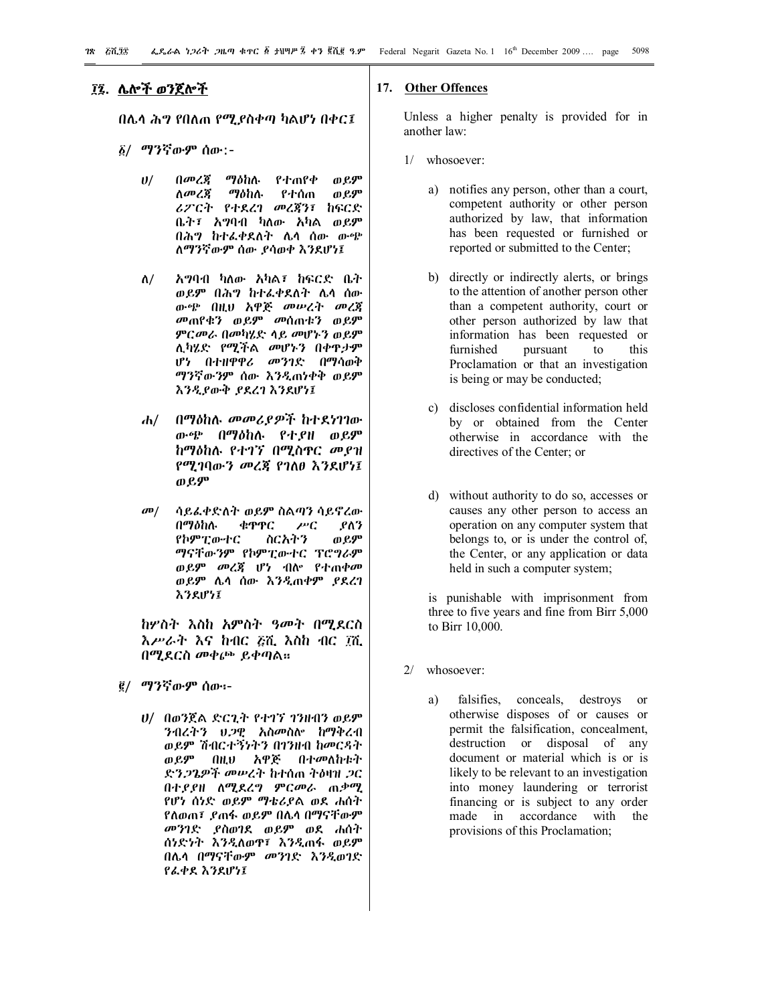## **07. ሌሎች ወንጀሎች**

በሌላ ሕግ የበለጠ የሚያስቀጣ ካልሆነ በቀር፤

- 1/ ማንኛውም ሰው:-
	- ሀ/ በመረጃ ማዕከሉ የተጠየቀ ወይም ለመረጃ ማዕከሉ የተሰጠ ወይም ሪፖርት የተደረገ መረጃን፣ ከፍርድ ቤት፣ አግባብ ካለው አካል ወይም በሕግ ከተፈቀደለት ሌላ ሰው ውጭ ለማንኛውም ሰው ያሳወቀ እንደሆነ፤
	- ለ/ አግባብ ካለው አካል፣ ከፍርድ ቤት ወይም በሕግ ከተፈቀደለት ሌላ ሰው ውጭ በዚህ አዋጅ መሠረት መረጃ መጠየቁን ወይም መሰጠቱን ወይም ምርመራ በመካሄድ ላይ መሆኑን ወይም ሊካሄድ የሚችል መሆኑን በቀጥታም ሆነ በተዘዋዋሪ መንገድ በማሳወቅ ማንኛውንም ሰው እንዲጠነቀቅ ወይም እንዲያውቅ ያደረገ እንደሆነ፤
	- ሐ/ በማዕከሉ መመሪያዎች ከተደነገገው ውጭ በማዕከሉ የተያዘ ወይም ከማዕከሉ የተገኘ በሚስጥር መያዝ የሚገባውን መረጃ የገለፀ እንደሆነ፤ ወይም
	- መ/ ሳይፈቀድለት ወይም ስልጣን ሳይኖረው በማዕከሉ ቁጥጥር ሥር ያለን የኮምፒውተር ስርአትን ወይም ማናቸውንም የኮምፒውተር ፕሮግራም ወይም መረጃ ሆነ ብሎ የተጠቀመ ወይም ሌላ ሰው እንዲጠቀም ያደረገ እንደሆነ፤

ከሦስት እስከ አምስት ዓመት በሚደርስ እሥራት እና ከብር ፩ሺ እስከ ብር ፲ሺ በሚደርስ መቀጮ ይቀጣል፡፡

- 2/ ማንኛውም ሰው፡-
	- ሀ/ በወንጀል ድርጊት የተገኘ ገንዘብን ወይም ንብረትን ህጋዊ አስመስሎ ከማቅረብ ወይም ሽብርተኝነትን በገንዘብ ከመርዳት ወይም በዚህ አዋጅ በተመለከቱት ድንጋጌዎች መሠረት ከተሰጠ ትዕዛዝ ጋር በተያያዘ ለሚደረግ ምርመራ ጠቃሚ የሆነ ሰነድ ወይም ማቴሪያል ወደ ሐሰት የለወጠ፣ ያጠፋ ወይም በሌላ በማናቸውም መንገድ ያስወገደ ወይም ወደ ሐሰት ሰነድነት እንዲለወጥ፣ እንዲጠፋ ወይም በሌላ በማናቸውም መንገድ እንዲወገድ የፈቀደ እንደሆነ፤

#### **17. Other Offences**

Unless a higher penalty is provided for in another law:

- 1/ whosoever:
	- a) notifies any person, other than a court, competent authority or other person authorized by law, that information has been requested or furnished or reported or submitted to the Center;
	- b) directly or indirectly alerts, or brings to the attention of another person other than a competent authority, court or other person authorized by law that information has been requested or furnished pursuant to this Proclamation or that an investigation is being or may be conducted;
	- c) discloses confidential information held by or obtained from the Center otherwise in accordance with the directives of the Center; or
	- d) without authority to do so, accesses or causes any other person to access an operation on any computer system that belongs to, or is under the control of, the Center, or any application or data held in such a computer system;

is punishable with imprisonment from three to five years and fine from Birr 5,000 to Birr 10,000.

- 2/ whosoever:
	- a) falsifies, conceals, destroys or otherwise disposes of or causes or permit the falsification, concealment, destruction or disposal of any document or material which is or is likely to be relevant to an investigation into money laundering or terrorist financing or is subject to any order made in accordance with the provisions of this Proclamation;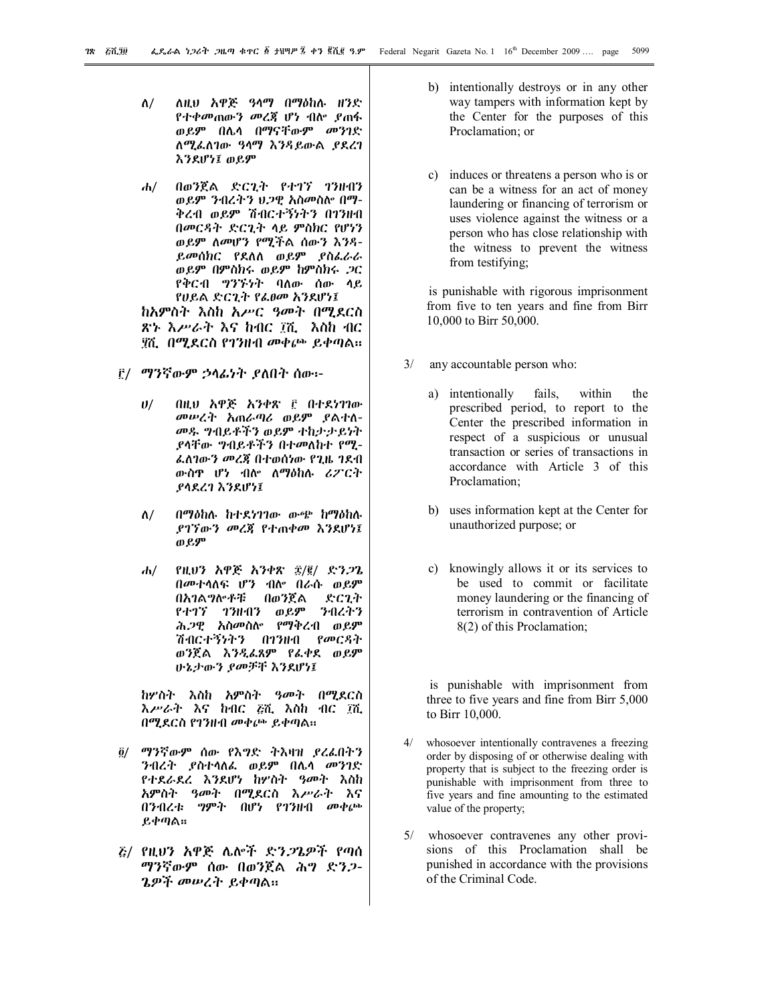- ለ/ ለዚህ አዋጅ ዓላማ በማዕከሉ ዘንድ የተቀመጠውን መረጃ ሆነ ብሎ ያጠፋ ወይም በሌላ በማናቸውም መንገድ ለሚፈለገው ዓላማ እንዳይውል ያደረገ እንደሆነ፤ ወይም
- ሐ/ በወንጀል ድርጊት የተገኘ ገንዘብን ወይም ንብረትን ህጋዊ አስመስሎ በማ-ቅረብ ወይም ሽብርተኝነትን በገንዘብ በመርዳት ድርጊት ላይ ምስክር የሆነን ወይም ለመሆን የሚችል ሰውን እንዳ-ይመሰክር የደለለ ወይም ያስፈራራ ወይም በምስክሩ ወይም ከምስክሩ ጋር የቅርብ ግንኙነት ባለው ሰው ላይ የሀይል ድርጊት የፈፀመ አንደሆነ፤

ከአምስት እስከ አሥር ዓመት በሚደርስ ጽኑ እሥራት እና ከብር ፲ሺ. እስከ ብር \$ሺ በሚደርስ የገንዘብ መቀጮ ይቀጣል፡፡

- 3/ ማንኛውም ኃላፊነት ያለበት ሰው፡-
	- ሀ/ በዚህ አዋጅ አንቀጽ ፫ በተደነገገው መሠረት አጠራጣሪ ወይም ያልተለ-መዱ ግብይቶችን ወይም ተከታታይነት ያላቸው ግብይቶችን በተመለከተ የሚ-ፈለገውን መረጃ በተወሰነው የጊዜ ገደብ ውስጥ ሆነ ብሎ ለማዕከሉ ሪፖርት ያላደረገ እንደሆነ፤
	- ለ/ በማዕከሉ ከተደነገገው ውጭ ከማዕከሉ ያገኘውን መረጃ የተጠቀመ እንደሆነ፤ ወይም
	- ሐ/ የዚህን አዋጅ አንቀጽ ፰/፪/ ድንጋጌ በመተላለፍ ሆን ብሎ በራሱ ወይም በአገልግሎቶቹ በወንጀል ድርጊት የተገኘ ገንዘብን ወይም ንብረትን ሕጋዊ አስመስሎ የማቅረብ ወይም ሽብርተኝነትን በገንዘብ የመርዳት ወንጀል እንዲፈጸም የፈቀደ ወይም ሁኔታውን ያመቻቸ እንደሆነ፤

ከሦስት እስከ አምስት ዓመት በሚደርስ እሥራት እና ከብር ζሺ እስከ ብር ፲ሺ በሚደርስ የገንዘብ መቀጮ ይቀጣል፡፡

- 4/ ማንኛውም ሰው የእግድ ትእዛዝ ያረፈበትን ንብረት ያስተላለፈ ወይም በሌላ መንገድ የተደራደረ እንደሆነ ከሦስት ዓመት እስከ አምስት ዓመት በሚደርስ እሥራት እና በንብረቱ ግምት በሆነ የገንዘብ መቀጮ ይቀጣል፡፡
- 5/ የዚህን አዋጅ ሌሎች ድንጋጌዎች የጣሰ ማንኛውም ሰው በወንጀል ሕግ ድንጋ-ጌዎች መሠረት ይቀጣል፡፡
- b) intentionally destroys or in any other way tampers with information kept by the Center for the purposes of this Proclamation; or
- c) induces or threatens a person who is or can be a witness for an act of money laundering or financing of terrorism or uses violence against the witness or a person who has close relationship with the witness to prevent the witness from testifying;

 is punishable with rigorous imprisonment from five to ten years and fine from Birr 10,000 to Birr 50,000.

- 3/ any accountable person who:
	- a) intentionally fails, within the prescribed period, to report to the Center the prescribed information in respect of a suspicious or unusual transaction or series of transactions in accordance with Article 3 of this Proclamation;
	- b) uses information kept at the Center for unauthorized purpose; or
	- c) knowingly allows it or its services to be used to commit or facilitate money laundering or the financing of terrorism in contravention of Article 8(2) of this Proclamation;

 is punishable with imprisonment from three to five years and fine from Birr 5,000 to Birr 10,000.

- 4/ whosoever intentionally contravenes a freezing order by disposing of or otherwise dealing with property that is subject to the freezing order is punishable with imprisonment from three to five years and fine amounting to the estimated value of the property;
- 5/ whosoever contravenes any other provisions of this Proclamation shall be punished in accordance with the provisions of the Criminal Code.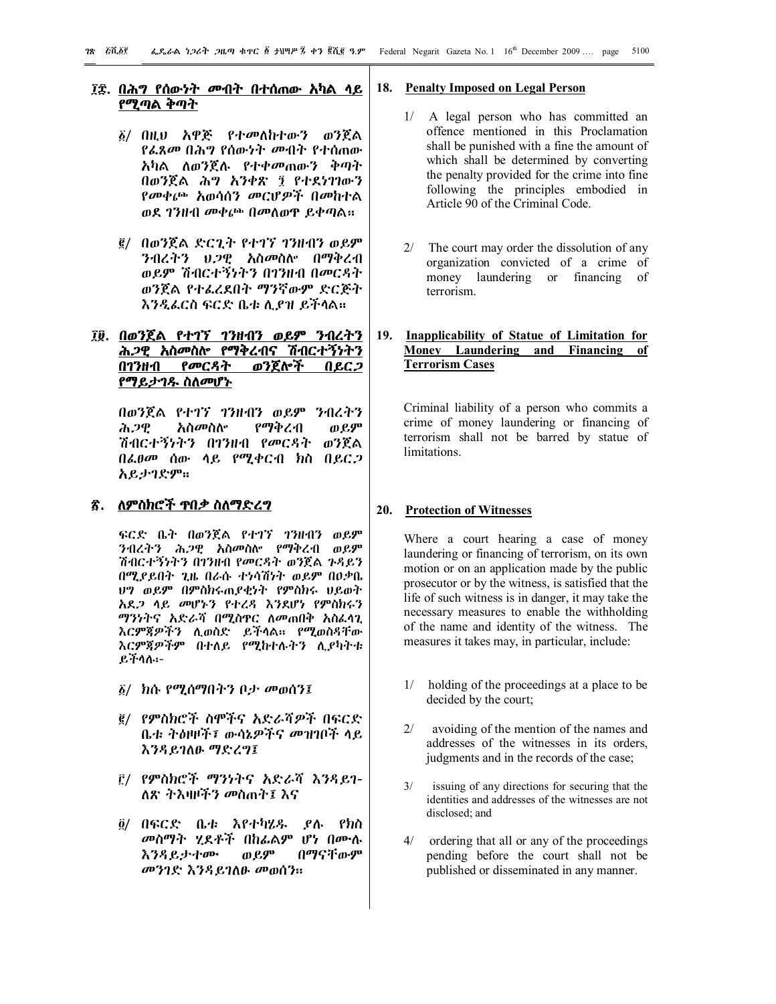## **08. በሕግ የሰውነት መብት በተሰጠው አካል ላይ የሚጣል ቅጣት**

- 1/ በዚህ አዋጅ የተመለከተውን ወንጀል የፈጸመ በሕግ የሰውነት መብት የተሰጠው አካል ለወንጀሉ የተቀመጠውን ቅጣት በወንጀል ሕግ አንቀጽ ፺ የተደነገገውን የመቀጮ አወሳሰን መርሆዎች በመከተል ወደ ገንዘብ መቀጮ በመለወዋ ይቀጣል፡፡
- 2/ በወንጀል ድርጊት የተገኘ ገንዘብን ወይም ንብረትን ህጋዊ አስመስሎ በማቅረብ ወይም ሽብርተኝነትን በገንዘብ በመርዳት ወንጀል የተፈረደበት ማንኛውም ድርጅት እንዲፈርስ ፍርድ ቤቱ ሊያዝ ይችላል፡፡

## **09. በወንጀል የተገኘ ገንዘብን ወይም ንብረትን ሕጋዊ አስመስሎ የማቅረብና ሽብርተኝነትን በገንዘብ የመርዳት ወንጀሎች በይርጋ የማይታገዱ ስለመሆኑ**

በወንጀል የተገኘ ገንዘብን ወይም ንብረትን ሕጋዊ አስመስሎ የማቅረብ ወይም ሽብርተኝነትን በገንዘብ የመርዳት ወንጀል በፈፀመ ሰው ላይ የሚቀርብ ክስ በይርጋ አይታገድም፡፡

## **!. ለምስክሮች ጥበቃ ስለማድረግ**

ፍርድ ቤት በወንጀል የተገኘ ገንዘብን ወይም ንብረትን ሕጋዊ አስመስሎ የማቅረብ ወይም ሽብርተኝነትን በገንዘብ የመርዳት ወንጀል ጉዳይን በሚያይበት ጊዜ በራሱ ተነሳሽነት ወይም በዐቃቤ ህግ ወይም በምስክሩጠያቂነት የምስክሩ ህይወት አደጋ ላይ መሆኑን የተረዳ እንደሆነ የምስክሩን ማንነትና አድራሻ በሚስጥር ለመጠበቅ አስፈላጊ እርምጃዎችን ሊወስድ ይችላል፡፡ የሚወስዳቸው እርምጃዎችም በተለይ የሚከተሉትን ሊያካትቱ ይችላሉ፡-

- 1/ ክሱ የሚሰማበትን ቦታ መወሰን፤
- 2/ የምስክሮች ስሞችና አድራሻዎች በፍርድ ቤቱ ትዕዞዞች፣ ውሳኔዎችና መዝገቦች ላይ እንዳይገለፁ ማድረግ፤
- 3/ የምስክሮች ማንነትና አድራሻ እንዳይገ-ለጽ ትእዛዞችን መስጠት፤ እና
- 4/ በፍርድ ቤቱ እየተካሄዱ ያሉ የክስ መስማት ሂደቶች በከፊልም ሆነ በሙሉ እንዳይታተሙ ወይም በማናቸውም መንገድ እንዳይገለፁ መወሰን፡፡

#### **18. Penalty Imposed on Legal Person**

- 1/ A legal person who has committed an offence mentioned in this Proclamation shall be punished with a fine the amount of which shall be determined by converting the penalty provided for the crime into fine following the principles embodied in Article 90 of the Criminal Code.
- 2/ The court may order the dissolution of any organization convicted of a crime of money laundering or financing of terrorism.

## **19. Inapplicability of Statue of Limitation for Money Laundering and Financing of Terrorism Cases**

Criminal liability of a person who commits a crime of money laundering or financing of terrorism shall not be barred by statue of limitations.

#### **20. Protection of Witnesses**

Where a court hearing a case of money laundering or financing of terrorism, on its own motion or on an application made by the public prosecutor or by the witness, is satisfied that the life of such witness is in danger, it may take the necessary measures to enable the withholding of the name and identity of the witness. The measures it takes may, in particular, include:

- 1/ holding of the proceedings at a place to be decided by the court;
- 2/ avoiding of the mention of the names and addresses of the witnesses in its orders, judgments and in the records of the case;
- 3/ issuing of any directions for securing that the identities and addresses of the witnesses are not disclosed; and
- 4/ ordering that all or any of the proceedings pending before the court shall not be published or disseminated in any manner.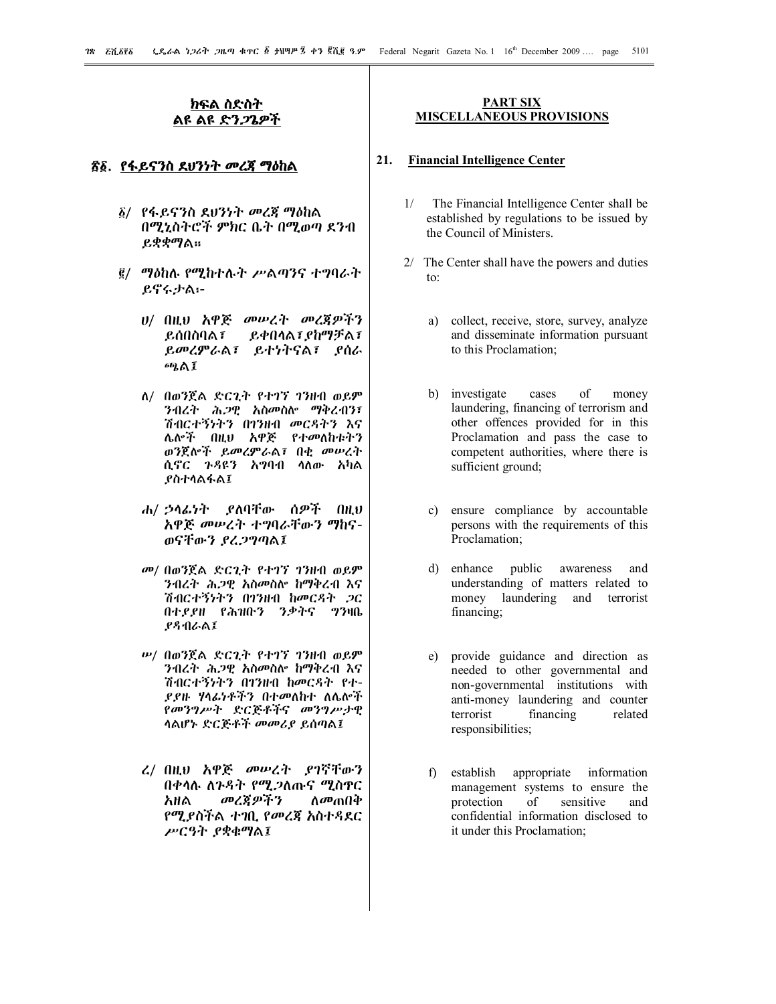## **ክፍል ስድስት**  ልዩ ልዩ ድን*ጋ*ን

## **!1. የፋይናንስ ደህንነት መረጃ ማዕከል**

- 1/ የፋይናንስ ደህንነት መረጃ ማዕከል በሚኒስትሮች ምክር ቤት በሚወጣ ደንብ ይቋቋማል፡፡
- 2/ ማዕከሉ የሚከተሉት ሥልጣንና ተግባራት ይኖሩታል፡-
	- ሀ/ በዚህ አዋጅ መሠረት መረጃዎችን ይሰበስባል፣ ይቀበላል፣ያከማቻል፣ ይመረምራል፣ ይተነትናል፣ ያሰራ ጫል፤
	- ለ/ በወንጀል ድርጊት የተገኘ ገንዘብ ወይም ንብረት ሕጋዊ አስመስሎ ማቅረብን፣ ሽብርተኝነትን በገንዘብ መርዳትን እና ሌሎች በዚህ አዋጅ የተመለከቱትን ወንጀሎች ይመረምራል፣ በቂ መሠረት ሲኖር ጉዳዩን አግባብ ላለው አካል ያስተላልፋል፤
	- ሐ/ ኃላፊነት ያለባቸው ሰዎች በዚህ አዋጅ መሠረት ተግባራቸውን ማከና-ወናቸውን ያረጋግጣል፤
	- መ/ በወንጀል ድርጊት የተገኘ ገንዘብ ወይም ንብረት ሕጋዊ አስመስሎ ከማቅረብ እና ሽብርተኝነትን በገንዘብ ከመርዳት ጋር በተያያዘ የሕዝቡን ንቃትና ግንዛቤ ያዳብራል፤
	- ሠ/ በወንጀል ድርጊት የተገኘ ገንዘብ ወይም ንብረት ሕጋዊ አስመስሎ ከማቅረብ እና ሽብርተኝነትን በገንዘብ ከመርዳት የተ-ያያዙ ሃላፊነቶችን በተመለከተ ለሌሎች የመንግሥት ድርጅቶችና መንግሥታዊ ላልሆኑ ድርጅቶች መመሪያ ይሰጣል፤
	- ረ/ በዚህ አዋጅ መሠረት ያገኛቸውን በቀላሉ ለጉዳት የሚጋለጡና ሚስጥር አዘል መረጃዎችን ለመጠበቅ የሚያስችል ተገቢ የመረጃ አስተዳደር ሥርዓት ያቋቁማል፤

#### **PART SIX MISCELLANEOUS PROVISIONS**

#### **21. Financial Intelligence Center**

- The Financial Intelligence Center shall be established by regulations to be issued by the Council of Ministers.
- 2/ The Center shall have the powers and duties to:
	- a) collect, receive, store, survey, analyze and disseminate information pursuant to this Proclamation;
	- b) investigate cases of money laundering, financing of terrorism and other offences provided for in this Proclamation and pass the case to competent authorities, where there is sufficient ground;
	- c) ensure compliance by accountable persons with the requirements of this Proclamation;
	- d) enhance public awareness and understanding of matters related to money laundering and terrorist financing;
	- e) provide guidance and direction as needed to other governmental and non-governmental institutions with anti-money laundering and counter terrorist financing related responsibilities;
	- f) establish appropriate information management systems to ensure the<br>protection of sensitive and protection of sensitive and confidential information disclosed to it under this Proclamation;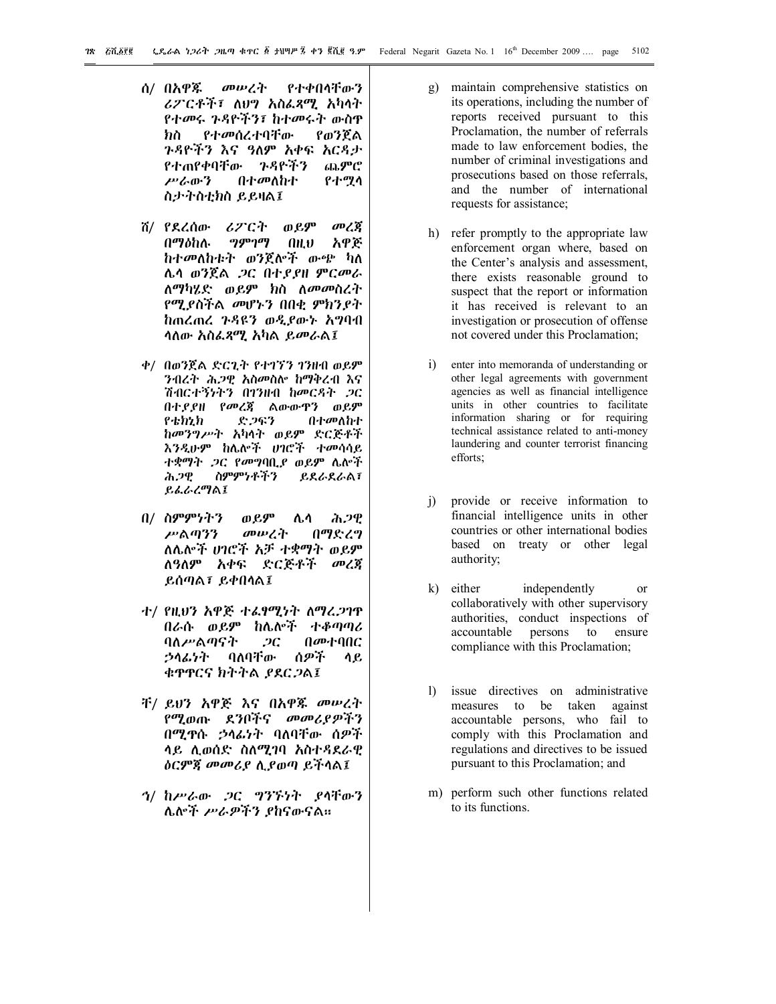- ሰ/ በአዋጁ መሠረት የተቀበላቸውን ሪፖርቶች፣ ለህግ አስፈጻሚ አካላት የተመሩ ጉዳዮችን፣ ከተመሩት ውስጥ ክስ የተመሰረተባቸው የወንጀል ጉዳዮችን እና ዓለም አቀፍ አርዳታ የተጠየቀባቸው ጉዳዮችን ጨምሮ ሥራውን በተመለከተ የተሟላ ስታትስቲክስ ይይዛል፤
- ሸ/ የደረሰው ሪፖርት ወይም መረጃ በማዕከሉ ግምገማ በዚህ አዋጅ ከተመለከቱት ወንጀሎች ውጭ ካለ ሌላ ወንጀል ጋር በተያያዘ ምርመራ ለማካሄድ ወይም ክስ ለመመስረት የሚያስችል መሆኑን በበቂ ምክንያት ከጠረጠረ ጉዳዩን ወዲያውኑ አግባብ ላለው አስፈጻሚ አካል ይመራል፤
- ቀ/ በወንጀል ድርጊት የተገኘን ገንዘብ ወይም ንብረት ሕጋዊ አስመስሎ ከማቅረብ እና ሽብርተኝነትን በገንዘብ ከመርዳት ጋር በተያያዘ የመረጃ ልውውጥን ወይም የቴክኒክ ድጋፍን በተመለከተ ከመንግሥት አካላት ወይም ድርጅቶች እንዲሁም ከሌሎች ሀገሮች ተመሳሳይ ተቋማት ጋር የመግባቢያ ወይም ሌሎች ሕጋዊ ስምምነቶችን ይደራደራል፣ ይፈራረማል፤
- በ/ ስምምነትን ወይም ሌላ ሕጋዊ ሥልጣንን መሠረት በማድረግ ለሌሎች ሀገሮች አቻ ተቋማት ወይም ለዓለም አቀፍ ድርጅቶች መረጃ ይሰጣል፣ ይቀበላል፤
- ተ/ የዚህን አዋጅ ተፈፃሚነት ለማረጋገጥ በራሱ ወይም ከሌሎች ተቆጣጣሪ ባለሥልጣናት *ጋ*ር በመተባበር<br>*ኃ*ሳፊነት ባለባቸው ሰዎች ላይ ኃላፊነት ባለባቸው ሰዎች ላይ ቁጥጥርና ክትትል ያደርጋል፤
- ቸ/ ይህን አዋጅ እና በአዋጁ መሠረት የሚወጡ ደንቦችና መመሪያዎችን በሚጥሱ ኃላፊነት ባለባቸው ሰዎች ላይ ሊወሰድ ስለሚገባ አስተዳደራዊ ዕርምጃ መመሪያ ሊያወጣ ይችላል፤
- ኅ/ ከሥራው ጋር ግንኙነት ያላቸውን ሌሎች ሥራዎችን ያከናውናል፡፡
- g) maintain comprehensive statistics on its operations, including the number of reports received pursuant to this Proclamation, the number of referrals made to law enforcement bodies, the number of criminal investigations and prosecutions based on those referrals, and the number of international requests for assistance;
- h) refer promptly to the appropriate law enforcement organ where, based on the Center's analysis and assessment, there exists reasonable ground to suspect that the report or information it has received is relevant to an investigation or prosecution of offense not covered under this Proclamation;
- i) enter into memoranda of understanding or other legal agreements with government agencies as well as financial intelligence units in other countries to facilitate information sharing or for requiring technical assistance related to anti-money laundering and counter terrorist financing efforts;
- j) provide or receive information to financial intelligence units in other countries or other international bodies based on treaty or other legal authority;
- k) either independently or collaboratively with other supervisory authorities, conduct inspections of accountable persons to ensure compliance with this Proclamation;
- l) issue directives on administrative measures to be taken against accountable persons, who fail to comply with this Proclamation and regulations and directives to be issued pursuant to this Proclamation; and
- m) perform such other functions related to its functions.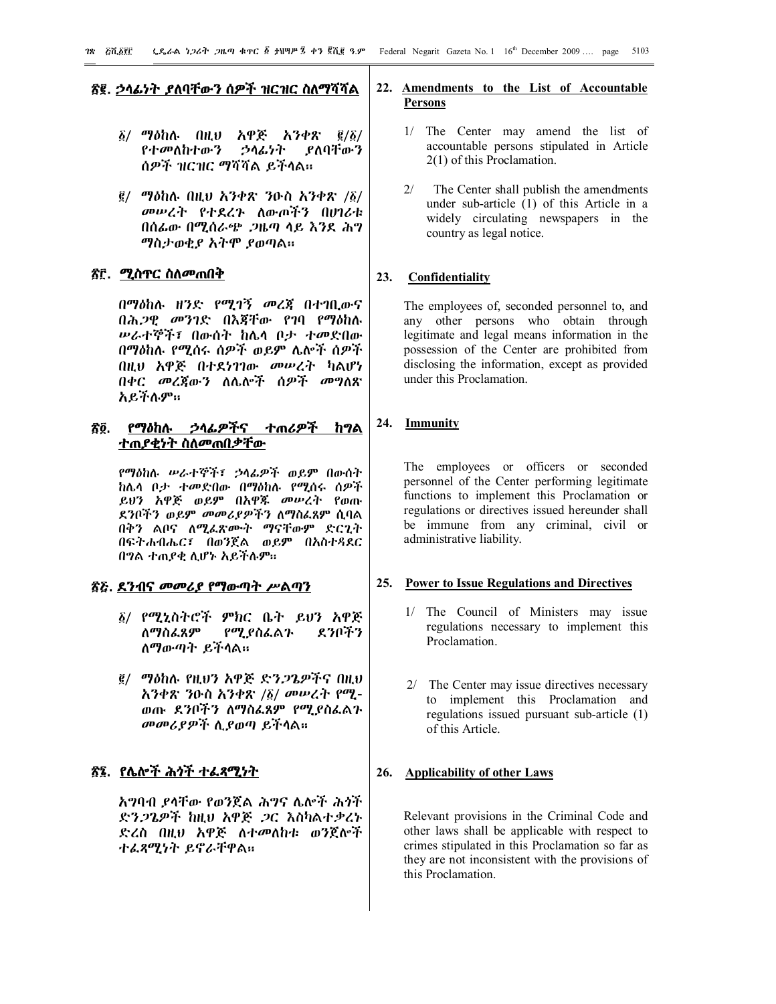## **!2. ኃላፊነት ያለባቸውን ሰዎች ዝርዝር ስለማሻሻል**

- $\tilde{\mathfrak{g}}$ / ማዕከሉ በዚህ አዋጅ አንቀጽ  $\tilde{\mathfrak{g}}/\tilde{\mathfrak{g}}/2$ የተመለከተውን ኃላፊነት ያለባቸውን ሰዎች ዝርዝር ማሻሻል ይችላል፡፡
- $\bar{g}$ / ማዕከሉ በዚህ አንቀጽ ንዑስ አንቀጽ / $\delta$ / መሠረት የተደረጉ ለውጦችን በሀገሪቱ በሰፊው በሚሰራጭ ጋዜጣ ላይ እንደ ሕግ ማስታወቂያ አትሞ ያወጣል፡፡

#### **!3. ሚስጥር ስለመጠበቅ**

በማዕከሉ ዘንድ የሚገኝ መረጃ በተገቢውና በሕጋዊ መንገድ በእጃቸው የገባ የማዕከሉ ሠራተኞች፣ በውሰት ከሌላ ቦታ ተመድበው በማዕከሉ የሚሰሩ ሰዎች ወይም ሌሎች ሰዎች በዚህ አዋጅ በተደነገገው መሠረት ካልሆነ በቀር መረጃውን ለሌሎች ሰዎች መግለጽ አይችሉም፡፡

## **!4. የማዕከሉ ኃላፊዎችና ተጠሪዎች ከግል ተጠያቂነት ስለመጠበቃቸው**

የማዕከሉ ሠራተኞች፣ ኃላፊዎች ወይም በውሰት ከሌላ ቦታ ተመድበው በማዕከሉ የሚሰሩ ሰዎች ይህን አዋጅ ወይም በአዋጁ መሠረት የወጡ ደንቦችን ወይም መመሪያዎችን ለማስፈጸም ሲባል በቅን ልቦና ለሚፈጽሙት ማናቸውም ድርጊት በፍትሐብሔር፣ በወንጀል ወይም በአስተዳደር በግል ተጠያቂ ሊሆኑ አይችሉም፡፡

#### **!5. ደንብና መመሪያ የማውጣት ሥልጣን**

- 1/ የሚኒስትሮች ምክር ቤት ይህን አዋጅ ለማስፈጸም የሚያስፈልጉ ደንቦችን ለማውጣት ይችላል፡፡
- 2/ ማዕከሉ የዚህን አዋጅ ድንጋጌዎችና በዚህ አንቀጽ ንዑስ አንቀጽ /፩/ መሠረት የሚ-ወጡ ደንቦችን ለማስፈጸም የሚያስፈልጉ መመሪያዎች ሊያወጣ ይችላል፡፡

## **!6. የሌሎች ሕጎች ተፈጻሚነት**

አግባብ ያላቸው የወንጀል ሕግና ሌሎች ሕጎች ድንጋጌዎች ከዚህ አዋጅ ጋር እስካልተቃረኑ ድረስ በዚህ አዋጅ ለተመለከቱ ወንጀሎች ተፈጻሚነት ይኖራቸዋል፡፡

#### **22. Amendments to the List of Accountable Persons**

- 1/ The Center may amend the list of accountable persons stipulated in Article 2(1) of this Proclamation.
- 2/ The Center shall publish the amendments under sub-article (1) of this Article in a widely circulating newspapers in the country as legal notice.

#### **23. Confidentiality**

The employees of, seconded personnel to, and any other persons who obtain through legitimate and legal means information in the possession of the Center are prohibited from disclosing the information, except as provided under this Proclamation.

## **24. Immunity**

The employees or officers or seconded personnel of the Center performing legitimate functions to implement this Proclamation or regulations or directives issued hereunder shall be immune from any criminal, civil or administrative liability.

#### **25. Power to Issue Regulations and Directives**

- 1/ The Council of Ministers may issue regulations necessary to implement this Proclamation.
- 2/ The Center may issue directives necessary to implement this Proclamation and regulations issued pursuant sub-article (1) of this Article.

#### **26. Applicability of other Laws**

Relevant provisions in the Criminal Code and other laws shall be applicable with respect to crimes stipulated in this Proclamation so far as they are not inconsistent with the provisions of this Proclamation.